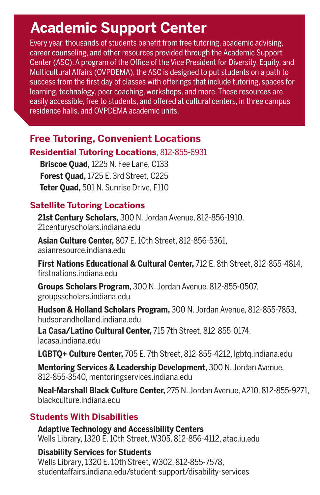## **Academic Support Center**

Every year, thousands of students benefit from free tutoring, academic advising, career counseling, and other resources provided through the Academic Support Center (ASC). A program of the Office of the Vice President for Diversity, Equity, and Multicultural Affairs (OVPDEMA), the ASC is designed to put students on a path to success from the first day of classes with offerings that include tutoring, spaces for learning, technology, peer coaching, workshops, and more. These resources are easily accessible, free to students, and offered at cultural centers, in three campus residence halls, and OVPDEMA academic units.

### **Free Tutoring, Convenient Locations**

#### **Residential Tutoring Locations**, 812-855-6931

**Briscoe Quad,** 1225 N. Fee Lane, C133 **Forest Quad,** 1725 E. 3rd Street, C225 **Teter Quad,** 501 N. Sunrise Drive, F110

#### **Satellite Tutoring Locations**

**21st Century Scholars,** 300 N. Jordan Avenue, 812-856-1910, 21centuryscholars.indiana.edu

**Asian Culture Center,** 807 E. 10th Street, 812-856-5361, asianresource.indiana.edu

**First Nations Educational & Cultural Center,** 712 E. 8th Street, 812-855-4814, firstnations.indiana.edu

**Groups Scholars Program,** 300 N. Jordan Avenue, 812-855-0507, groupsscholars.indiana.edu

**Hudson & Holland Scholars Program,** 300 N. Jordan Avenue, 812-855-7853, hudsonandholland.indiana.edu

**La Casa/Latino Cultural Center,** 715 7th Street, 812-855-0174, lacasa.indiana edu

**LGBTQ+ Culture Center,** 705 E. 7th Street, 812-855-4212, lgbtq.indiana.edu

**Mentoring Services & Leadership Development,** 300 N. Jordan Avenue, 812-855-3540, mentoringservices.indiana.edu

**Neal-Marshall Black Culture Center,** 275 N. Jordan Avenue, A210, 812-855-9271, blackculture.indiana.edu

#### **Students With Disabilities**

**Adaptive Technology and Accessibility Centers** Wells Library, 1320 E. 10th Street, W305, 812-856-4112, atac.iu.edu

#### **Disability Services for Students**

Wells Library, 1320 E. 10th Street, W302, 812-855-7578, studentaffairs.indiana.edu/student-support/disability-services